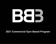

## **Commercial Gym Based Program**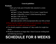## **General guidelines**

## **Workouts**

- Split up by body part (Clickable links attached to certain exercises)
	- Upper 1 (Chest, Shoulders, Tri's), Lower 1 (quad focus)
	- Upper 2 (Back/Bi), Lower 2 (Glute/hamstring focus)
	- Upper 3 (Bi's  $&$  Tri's)
	- Total body (cardio/core)
	- Cardio and abs will be incorporated after your lifts as listed
- Please log the weight you will use on each movement -- so that you can advance the weight each week as needed
- You should complete a minimum of 3 days cardio for weight loss clients
- Workouts should be no longer than 1 hour if you are working hard and following rest times

# **SCHEDULE FOR 8 WEEKS**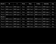| Month 1          | M                                     | Wed. | Thur.              | <b>Friday</b>      | <b>Saturday</b>                       | Sun. |
|------------------|---------------------------------------|------|--------------------|--------------------|---------------------------------------|------|
| Week 1           | <b>BBB</b> Lower 1 <b>BBB</b> Upper 1 | Rest | <b>BBB</b> Total 1 | <b>BBB</b> Lower 2 | <b>BBB</b> Upper 2                    | Rest |
| Week 2           | <b>BBB</b> Lower 1 <b>BBB</b> Upper 3 | Rest | <b>BBB</b> Total 2 | <b>BBB</b> Lower 2 | <b>BBB</b> Upper 1                    | Rest |
| Week 3           | <b>BBB</b> Lower 1 <b>BBB</b> Upper 2 | Rest | <b>BBB</b> Total 1 | <b>BBB</b> Lower 2 | <b>BBB</b> Upper 3                    | Rest |
| Week 4           | <b>BBB</b> Lower 1 <b>BBB</b> Upper 1 | Rest | <b>BBB</b> Total 2 | <b>BBB</b> Lower 2 | <b>BBB</b> Upper 2                    | Rest |
| <b>Month</b> $2$ |                                       |      |                    |                    |                                       |      |
| Week 5           | <b>BBB</b> Lower 1 <b>BBB</b> Upper 3 | Rest | <b>BBB</b> Total 1 | <b>BBB</b> Lower 2 | <b>BBB</b> Upper 1                    | Rest |
|                  | <i>Week 6</i> BBB Lower 1 BBB Upper 2 | Rest | <b>BBB</b> Total 2 | <b>BBB</b> Lower 2 | <b>BBB</b> Upper 3                    | Rest |
| Week 7           | <b>BBB</b> Lower 1 <b>BBB</b> Upper 1 | Rest | <b>BBB</b> Total 1 |                    | <b>BBB</b> Lower 2 <b>BBB</b> Upper 2 | Rest |
| Week 8           | <b>BBB</b> Lower 1 <b>BBB</b> Upper 3 | Rest | <b>BBB</b> Total 2 | <b>BBB</b> Lower 2 | <b>BBB</b> Upper 1                    | Rest |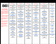## B83

#### **PLEASE READ BEFORE COMPLETING WORKOUTS**

**\*\*\*I recommend selecting weights for each exercise that are going to challenge you, get your heart rate up, and produce a solid burn in the targeted muscle. If you complete a set of reps with no challenge, it is too light.**

**\*\*Exercises in each circuit should be completed back to back or back to back to back w/ (NO REST)**

**\*\*Maintain good form and range of motion throughout all exercises to ensure safe and effective workout**

**\*\*Keep track of what weights you are using so that each week you can make progressions as you go**

**\*\*\*Weeks 1-4 should be more endurance/learning based (still working hard though!)**

**\*\*\*Weeks 5-8 you should be increasing weight as you the reps go down!**

#### **BBB UPPER 1**

**\*Weeks 1-4: complete 3-4 rounds of each superset or tri set (with 1-2 min rest between rounds) \*Weeks 5-8: complete 4-5 rounds of each superset or tri set (with 1-2 min rest between rounds) \*\*\*attempt to push the heaviest weight you can for each exercise with good form**

**Circuit 1 [Incline](https://www.youtube.com/watch?v=DnV3R4vp3K0) DB Press Weeks 1-4: (12 reps) Weeks 5-8: Increase weight. (8 reps) Elevated [dumbbell](https://www.youtube.com/watch?v=IkSbiaHDNSg) push up into [mountain](https://www.youtube.com/watch?v=IkSbiaHDNSg) climbers Weeks 1-4: (5 push ups + 10 mountain climbers - repeat 3 times) Weeks 5-8: (10 push ups + 20 mountain climbers - repeat 3 times) Circuit 2**

**[Standing](https://www.youtube.com/watch?v=hA1K5OalcdU) DB Arnold Press Weeks 1-4: (12 reps) Weeks 5-8: Increase weight. (8 reps)**

**[Close](https://www.youtube.com/watch?v=KtO1rsc7uok) grip push up jack (push up on knees and then come onto toes for the jack as needed) Weeks 1-4: (10-15 reps) Weeks 5-8: (20-25 reps)**

**Circuit 3 EZ bar skull [crushers](https://www.youtube.com/watch?v=5DbjkCwasGM) Weeks 1-4: (15-20 reps) Weeks 5-8: Increase weight. (12-15 reps) [Plank](https://www.youtube.com/watch?v=Z-yka15NEj8) up down knee tuck (30 seconds all out)**

**Circuit 4 [Upright](https://www.youtube.com/watch?v=pClUVg1E-TI) row Weeks 1-4: (12 reps) Weeks 5-8: Increase weight. (8 reps) [Seated](https://www.youtube.com/watch?v=tOewgpZmCKA) lateral raises Weeks 1-4: (12-15 reps) Weeks 5-8: (15-20 reps)**

> **CARDIO Stair stepper minutes**

#### **BBB LOWER 1**

**\*Weeks 1-4: complete 3-4 rounds of each superset or tri set (with 1-2 min rest between rounds) \*Weeks 5-8: complete 4-5 rounds of each superset or tri set (with 1-2 min rest between rounds) \*\*\*attempt to push the heaviest weight you can for each exercise with good form**

**Circuit 1 [Angled](https://www.youtube.com/watch?v=12EeZb83e34) Leg press (close stance) Weeks 1-4: (12 reps) Weeks 5-8: Increase weight. (8 reps) Heel [elevated](https://www.youtube.com/watch?v=CxD9afE7GXM) goblet squat Weeks 1-4: (15-20 reps) Weeks 5-8: (12-15 reps) [Jump](https://www.youtube.com/watch?v=YGGq0AE5Uyc) squat (All out for 30 seconds)**

**Circuit 2 Smith [machine](https://www.youtube.com/watch?v=AuTb-4PMdK8) close stance squat Weeks 1-4: (12 reps) Weeks 5-8: Increase weight. (8 reps)**

**DB step up w/ knee [drive](https://www.youtube.com/watch?v=RFQqNCbGX6E) Weeks 1-4: (10 reps on each leg) Weeks 5-8: Increase weight. (8 reps on each leg)**

**Circuit 3 Leg [extension](https://www.youtube.com/watch?v=wA0c2O5TH74) machine Weeks 1-4: (15-20 reps) Weeks 5-8: Increase weight. (12-15 reps) Dumbbell [Stationary](https://www.youtube.com/watch?v=72YDxHbo0hk) Lunges Weeks 1-4: (12 reps each leg) Weeks 5-8: Increase weight.**

**(8 reps each leg) Star [jumps](https://www.youtube.com/watch?v=09Rys__llLc) (30 seconds)**

**Circuit 4 DB [walking](https://www.youtube.com/watch?v=SniKHGKDJyU) lunges Weeks 1-4: (26 reps) Weeks 5-8: Increase weight. (26 reps)**

**AB circuit to finish -[starfish](https://www.youtube.com/watch?v=OVn5uFKYaW0) crunch [-Jackknife](https://www.youtube.com/watch?v=OnuhuRhshYo) w/ twist [-Prayer](https://www.youtube.com/watch?v=TmcoOZpZ0X8) crunch (3 rounds - 45 seconds work - 15 seconds rest)**

**BBB UPPER 2 \*Weeks 1-4: complete 3-4 rounds of each superset or tri set (with 1-2 min rest between rounds) \*Weeks 5-8: complete 4-5 rounds of each superset or tri set (with 1-2 min rest between rounds) \*\*\*attempt to push the heaviest weight you can for each exercise with good form Circuit 1 Assisted Pull Up [Machine](https://www.youtube.com/watch?v=XeaRyJQ9y1k)**

**Weeks 1-4: (12 total reps) Weeks 5-8: Decrease assistance. (10 total reps) [Standing](https://www.youtube.com/watch?v=dDI8ClxRS04) straight bar curls Weeks 1-4: (12-15 reps) Weeks 5-8: Increase weight. (8-10 reps) Bar over [burpee](https://www.youtube.com/watch?v=H6N_xZpDXJM) (60 seconds)**

**Circuit 2 Smith [Machine](https://www.youtube.com/watch?v=3QcJggd_L24) Bent over row Weeks 1-4: (12 reps) Weeks 5-8: Increase weight. (8 reps) [Plank](https://www.youtube.com/watch?v=uX6AR_UkAIQ) up down row Weeks 1-4: (12 total reps) Weeks 5-8: Increase weight. (8 total reps)**

**Circuit 3 V bar close grip lat [pulldown](https://www.youtube.com/watch?v=LJ5ebC1pWkA) Weeks 1-4: (12 reps) Weeks 5-8: Increase weight. (8 reps) Half [burpee](https://www.youtube.com/watch?v=gdowPewuMHQ) to bicep curl Weeks 1-4: (15 reps) Weeks 5-8: Increase weight. (10 reps)**

**Circuit 4 [Seated](https://www.youtube.com/watch?v=sjJ0z4R3w0M) wide grip low row Weeks 1-4: (12 reps) Weeks 5-8: Increase weight. (8 reps) EZ Bar [curls](https://www.youtube.com/watch?v=nc96AHMGeF4) Weeks 1-4: (20 reps) Weeks 5-8: Increase weight. (10 reps)**

> **CARDIO Stair stepper minutes**

#### **BBB LOWER 2**

**\*Weeks 1-4: complete 3-4 rounds of each superset or tri set (with 1-2 min rest between rounds) \*Weeks 5-8: complete 4-5 rounds of each superset or tri set (with 1-2 min rest between rounds) \*\*\*attempt to push the heaviest weight you can for each exercise with good form**

**Circuit 1 Stiff leg barbell [deadlift](https://www.youtube.com/watch?v=CN_7cz3P-1U) Weeks 1-4: (10-12 reps) Weeks 5-8: Increase weight. (8 reps) [Curtsey](https://www.youtube.com/watch?v=x6oTcZmmtDo) Bench Step overs w/ [DB's](https://www.youtube.com/watch?v=x6oTcZmmtDo) (60 seconds)**

**Circuit 2 Smith [machine](https://www.youtube.com/watch?v=t9qC0qOQsAU) sumo back [squats](https://www.youtube.com/watch?v=t9qC0qOQsAU) Weeks 1-4: (10-12 reps) Weeks 5-8: Increase weight. (8 reps) DB [curtsey](https://www.youtube.com/watch?v=q2MItW03FFY) lunge (complete all reps on same leg first) Weeks 1-4: (15 reps each leg) Weeks 5-8: (12 reps each leg)**

**Circuit 3 Stiff leg DB [RDLs](https://www.youtube.com/watch?v=_5DEdWpKYj4) Weeks 1-4: (10-12 reps) Weeks 5-8: Increase weight. (8 reps) Single leg hip [thrust](https://www.youtube.com/watch?v=P3FtzQHHoWQ) Weeks 1-4: (15 reps each leg) Weeks 5-8: (12 reps each leg) [Dumbbell](https://www.youtube.com/watch?v=EOLx5Q11VqM) jump lunges (60 seconds)**

**Circuit 4 Stomach lying [hamstring](https://www.youtube.com/watch?v=ryDT2Pjjarg) curls (100 reps - least amount of sets possible)**

**AB Circuit [Kneeling](https://www.youtube.com/watch?v=3qjoXDTuyOE) cable rope crunches (3x20) [Standing](https://www.youtube.com/watch?v=u2MfrzcJFY0) cable twist (3x10 each side)**

### **BBB UPPER 3**

**\*Weeks 1-4: complete 3-4 rounds of each superset or tri set (with 1-2 min rest between rounds) \*Weeks 5-8: complete 4-5 rounds of each superset or tri set (with 1-2 min rest between rounds) \*\*\*attempt to push the heaviest weight you can for each exercise with good**

> **Circuit 1 Close grip [Bench](https://www.youtube.com/watch?v=3VP9HV1nAyQ) press Weeks 1-4: (12 reps) Weeks 5-8: Increase weight. (8 reps) [Diamond](https://www.youtube.com/watch?v=Ts2w2r0sD6k) push ups Weeks 1-4: (12-15 reps) Weeks 5-8: (15-20 reps) Med ball jack [press](https://www.youtube.com/watch?v=edJbZoZJN78) (60 seconds)**

**form**

**Circuit 2 Hammer grip pull ups [\(assisted\)](https://www.youtube.com/watch?v=ZAPX0ou-JSg&pbjreload=101) Weeks 1-4: (12-15 reps) Weeks 5-8: Decrease assistance. Complete (8-10 reps) DB [Bicep](https://www.youtube.com/watch?v=cBSD6mQIPQk) curls Weeks 1-4: (12-15 reps) Weeks 5-8: Increase weight. (8-10 reps) High plank [shoulder](https://www.youtube.com/watch?v=79-iPMH6Z7U) tap to knee tuck (60 seconds)**

**Circuit 3 Standing Tricep [Skullcrusher](https://www.youtube.com/watch?v=Ad30jMepoSI) Weeks 1-4: (20-25 reps), last set to failure Weeks 5-8: Increase weight. (12-15 reps), last set to failure [Tricep](https://www.youtube.com/watch?v=v_1vGUPh1r8) cable press down Weeks 1-4: (20-25 reps), last set to failure Weeks 5-8: Increase weight. (12-15 reps, last set to failure)**

**Circuit 4 EZ bar curl [narrow](https://www.youtube.com/watch?v=q3m11UgH8rs) grip Weeks 1-4: (15-20 reps) Weeks 5-8: Increase weight. (12-15 reps) Hammer curl + [preacher](https://www.youtube.com/watch?v=mK6T9i43bSY) curl combo Weeks 1-4: 12 total reps or 6 of each Weeks 5-8:Increase weight. 16 total reps or 8 of each**

**CARDIO Stair stepper: 25-30 min**

#### **BBB TOTAL 1**

**\*Complete all rounds of "1a" before moving onto "2a" etc.\* 1a) [2](https://www.youtube.com/watch?v=BONEzJLrtkI)000 [meter](https://images-na.ssl-images-amazon.com/images/I/517wbxG6btL._AC_SL1000_.jpg) row 2a) [Burpee](https://www.youtube.com/watch?v=QJTztnjOoMM) into box jump (5 rds x 60 seconds - 45 s**

> **rest) 3a) [W](https://www.youtube.com/watch?v=QJTztnjOoMM)all Ball [Thrusters](https://www.youtube.com/watch?v=gOv01o7hf4Q) (4 rds x 60 seconds - 45 s**

**rest)**

**4a) [Plank](https://www.youtube.com/watch?v=Z-yka15NEj8) up down knee [tuck](https://www.youtube.com/watch?v=Z-yka15NEj8) (4 rds x 60 seconds - 45 s rest)**

**5a) [Lateral](https://www.youtube.com/watch?v=QOVB77oljk0) box step taps (use big box) (5 rds x 60 seconds - 45 s rest)**

**\*Stair stepper, if time\***

**BBB TOTAL 2**

**\*Complete all rounds of "1a" before moving onto "2a" etc.\***

**1a) 5 minute treadmill run**

**2a) High [plank](https://www.youtube.com/watch?v=pz-9G5vyjHY) twist and [touch](https://www.youtube.com/watch?v=pz-9G5vyjHY) (4 rds x 60 seconds - 45 s rest)**

**3a) Med ball [burpee](https://www.youtube.com/watch?v=nADeEuhAbDA) to**

**[press](https://www.youtube.com/watch?v=nADeEuhAbDA) (4 rds x 60 seconds - 45 s rest)**

**4a) [Jumping](https://www.youtube.com/watch?v=Q2hncxbvdA8) jack shoulder [press](https://www.youtube.com/watch?v=Q2hncxbvdA8) (4 rds x 60 seconds - 45 s rest)**

**5a) [Inchworm](https://www.youtube.com/watch?v=FTRe_vDie1Y) to mountain [climber](https://www.youtube.com/watch?v=FTRe_vDie1Y) (1 to 20 rep ratio) (4 rds x 60 seconds - 45 s rest)**

**\*Stair stepper, if time\***